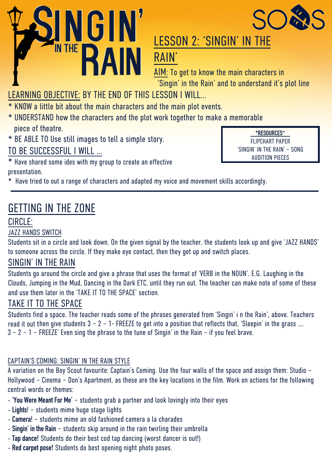



## LESSON 2: 'SINGIN' IN THE RAIN'

AIM: To get to know the main characters in 'Singin' in the Rain' and to understand it's plot line

### LEARNING OBJECTIVE: BY THE END OF THIS LESSON I WILL…

- \* KN0W a little bit about the main characters and the main plot events.
- \* UNDERSTAND how the characters and the plot work together to make a memorable piece of theatre.
- \* BE ABLE TO Use still images to tell a simple story.

TO BE SUCCESSFUL I WILL …

\* Have shared some ides with my group to create an effective presentation.

**\*RESOURCES**\* FLIPCHART PAPER 'SINGIN' IN THE RAIN' – SONG AUDITION PIECES

\* Have tried to out a range of characters and adapted my voice and movement skills accordingly.

### GETTING IN THE ZONE

### CIRCLE:

#### JAZZ HANDS SWITCH

Students sit in a circle and look down. On the given signal by the teacher, the students look up and give 'JAZZ HANDS' to someone across the circle. If they make eye contact, then they get up and switch places.

#### SINGIN' IN THE RAIN

Students go around the circle and give a phrase that uses the format of 'VERB in the NOUN'. E.G. Laughing in the Clouds, Jumping in the Mud, Dancing in the Dark ETC. until they run out. The teacher can make note of some of these and use them later in the 'TAKE IT TO THE SPACE' section.

#### TAKE IT TO THE SPACE

Students find a space. The teacher reads some of the phrases generated from 'Singin' i n the Rain', above. Teachers read it out then give students  $3 - 2 - 1$ - FREEZE to get into a position that reflects that. 'Sleepin' in the grass .... 3 – 2 – 1 – FREEZE' Even sing the phrase to the tune of Singin' in the Rain – if you feel brave.

#### CAPTAIN'S COMING: SINGIN' IN THE RAIN STYLE

A variation on the Boy Scout favourite: Captain's Coming. Use the four walls of the space and assign them: Studio – Hollywood – Cinema – Don's Apartment, as these are the key locations in the film. Work on actions for the following central words or themes:

- **'You Were Meant For Me'** students grab a partner and look lovingly into their eyes
- **Lights**! students mime huge stage lights
- **Camera**! students mime an old fashioned camera a la charades
- **Singin' in the Rain** students skip around in the rain twirling their umbrella
- **Tap dance!** Students do their best cod tap dancing (worst dancer is out!)
- **Red carpet pose!** Students do best opening night photo poses.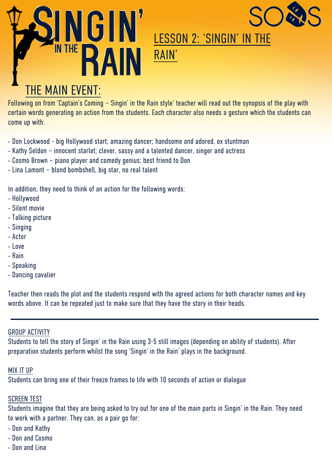



## LESSON 2: 'SINGIN' IN THE RAIN'

# THE MAIN EVENT:

Following on from 'Captain's Coming – Singin' in the Rain style' teacher will read out the synopsis of the play with certain words generating an action from the students. Each character also needs a gesture which the students can come up with:

- Don Lockwood big Hollywood start; amazing dancer; handsome and adored, ex stuntman
- Kathy Seldon innocent starlet; clever, sassy and a talented dancer, singer and actress
- Cosmo Brown piano player and comedy genius: best friend to Don
- Lina Lamont blond bombshell, big star, no real talent

In addition, they need to think of an action for the following words:

- Hollywood
- Silent movie
- Talking picture
- Singing
- Actor
- Love
- Rain
- Speaking
- Dancing cavalier

Teacher then reads the plot and the students respond with the agreed actions for both character names and key words above. It can be repeated just to make sure that they have the story in their heads.

#### GROUP ACTIVITY

Students to tell the story of Singin' in the Rain using 3-5 still images (depending on ability of students). After preparation students perform whilst the song 'Singin' in the Rain' plays in the background.

#### MIX IT UP

Students can bring one of their freeze frames to life with 10 seconds of action or dialogue

#### SCREEN TEST

Students imagine that they are being asked to try out for one of the main parts in Singin' in the Rain. They need to work with a partner. They can, as a pair go for:

- Don and Kathy
- Don and Cosmo
- Don and Lina